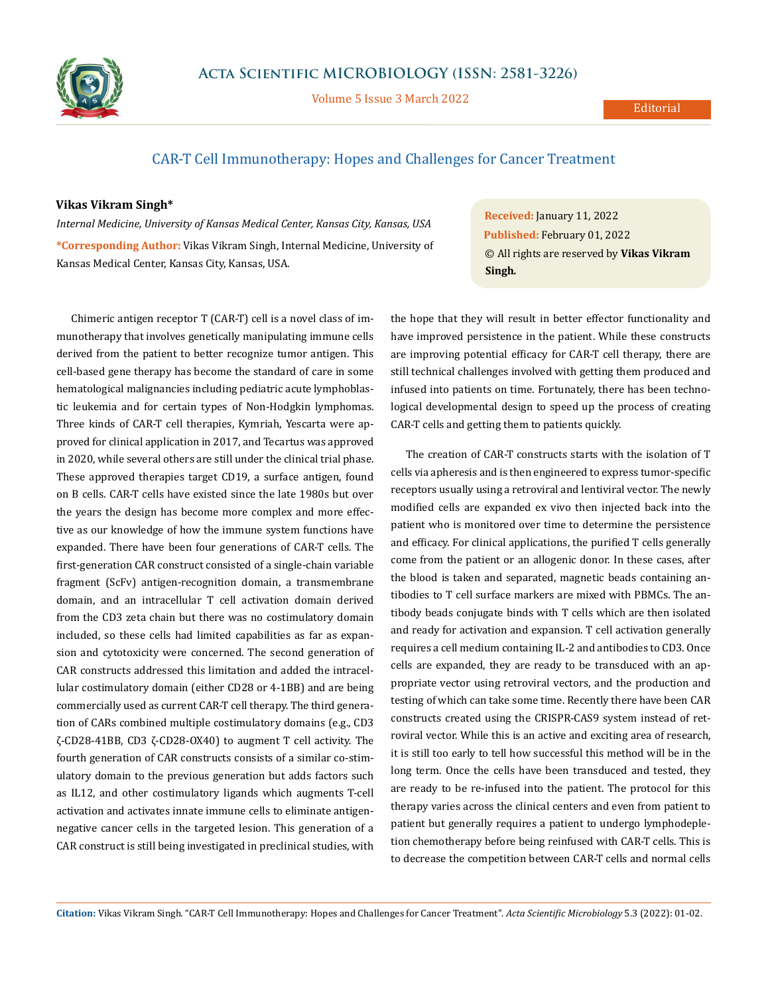

Volume 5 Issue 3 March 2022

## CAR-T Cell Immunotherapy: Hopes and Challenges for Cancer Treatment

## **Vikas Vikram Singh\***

*Internal Medicine, University of Kansas Medical Center, Kansas City, Kansas, USA* **\*Corresponding Author:** Vikas Vikram Singh, Internal Medicine, University of Kansas Medical Center, Kansas City, Kansas, USA.

Chimeric antigen receptor T (CAR-T) cell is a novel class of immunotherapy that involves genetically manipulating immune cells derived from the patient to better recognize tumor antigen. This cell-based gene therapy has become the standard of care in some hematological malignancies including pediatric acute lymphoblastic leukemia and for certain types of Non-Hodgkin lymphomas. Three kinds of CAR-T cell therapies, Kymriah, Yescarta were approved for clinical application in 2017, and Tecartus was approved in 2020, while several others are still under the clinical trial phase. These approved therapies target CD19, a surface antigen, found on B cells. CAR-T cells have existed since the late 1980s but over the years the design has become more complex and more effective as our knowledge of how the immune system functions have expanded. There have been four generations of CAR-T cells. The first-generation CAR construct consisted of a single-chain variable fragment (ScFv) antigen-recognition domain, a transmembrane domain, and an intracellular T cell activation domain derived from the CD3 zeta chain but there was no costimulatory domain included, so these cells had limited capabilities as far as expansion and cytotoxicity were concerned. The second generation of CAR constructs addressed this limitation and added the intracellular costimulatory domain (either CD28 or 4-1BB) and are being commercially used as current CAR-T cell therapy. The third generation of CARs combined multiple costimulatory domains (e.g., CD3 ζ-CD28-41BB, CD3 ζ-CD28-OX40) to augment T cell activity. The fourth generation of CAR constructs consists of a similar co-stimulatory domain to the previous generation but adds factors such as IL12, and other costimulatory ligands which augments T-cell activation and activates innate immune cells to eliminate antigennegative cancer cells in the targeted lesion. This generation of a CAR construct is still being investigated in preclinical studies, with **Received:** January 11, 2022 **Published:** February 01, 2022 © All rights are reserved by **Vikas Vikram Singh***.*

the hope that they will result in better effector functionality and have improved persistence in the patient. While these constructs are improving potential efficacy for CAR-T cell therapy, there are still technical challenges involved with getting them produced and infused into patients on time. Fortunately, there has been technological developmental design to speed up the process of creating CAR-T cells and getting them to patients quickly.

The creation of CAR-T constructs starts with the isolation of T cells via apheresis and is then engineered to express tumor-specific receptors usually using a retroviral and lentiviral vector. The newly modified cells are expanded ex vivo then injected back into the patient who is monitored over time to determine the persistence and efficacy. For clinical applications, the purified T cells generally come from the patient or an allogenic donor. In these cases, after the blood is taken and separated, magnetic beads containing antibodies to T cell surface markers are mixed with PBMCs. The antibody beads conjugate binds with T cells which are then isolated and ready for activation and expansion. T cell activation generally requires a cell medium containing IL-2 and antibodies to CD3. Once cells are expanded, they are ready to be transduced with an appropriate vector using retroviral vectors, and the production and testing of which can take some time. Recently there have been CAR constructs created using the CRISPR-CAS9 system instead of retroviral vector. While this is an active and exciting area of research, it is still too early to tell how successful this method will be in the long term. Once the cells have been transduced and tested, they are ready to be re-infused into the patient. The protocol for this therapy varies across the clinical centers and even from patient to patient but generally requires a patient to undergo lymphodepletion chemotherapy before being reinfused with CAR-T cells. This is to decrease the competition between CAR-T cells and normal cells

**Citation:** Vikas Vikram Singh*.* "CAR-T Cell Immunotherapy: Hopes and Challenges for Cancer Treatment". *Acta Scientific Microbiology* 5.3 (2022): 01-02.